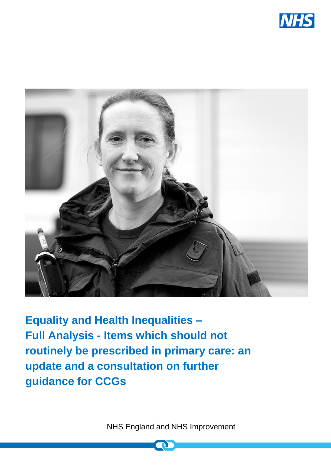



**Equality and Health Inequalities – Full Analysis - Items which should not routinely be prescribed in primary care: an update and a consultation on further guidance for CCGs**

NHS England and NHS Improvement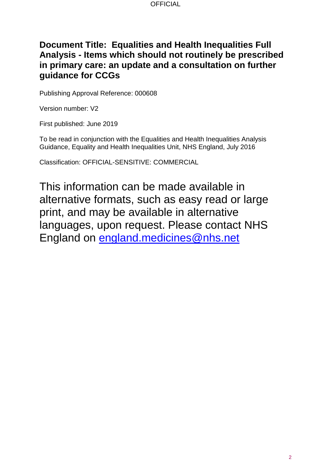## **Document Title: Equalities and Health Inequalities Full Analysis - Items which should not routinely be prescribed in primary care: an update and a consultation on further guidance for CCGs**

Publishing Approval Reference: 000608

Version number: V2

First published: June 2019

To be read in conjunction with the Equalities and Health Inequalities Analysis Guidance, Equality and Health Inequalities Unit, NHS England, July 2016

Classification: OFFICIAL-SENSITIVE: COMMERCIAL

This information can be made available in alternative formats, such as easy read or large print, and may be available in alternative languages, upon request. Please contact NHS England on [england.medicines@nhs.net](file://///ims.gov.uk/data/dh/london/skh/nw098/NHS%20CB/Medical%20Directorate/Medicines,%20Diagnostics%20and%20Personalised%20Medicine%20Policy%20Unit/2016-2017/medicines%20policy/Low%20value%20prescription%20items/Board%20papers/england.medicines@nhs.net)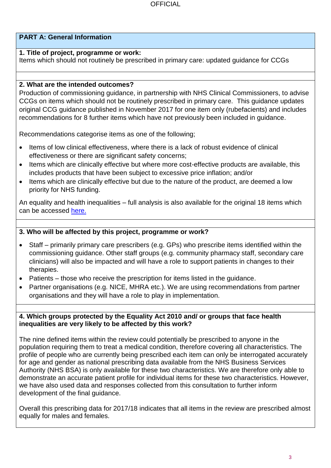## **PART A: General Information**

#### **1. Title of project, programme or work:**

Items which should not routinely be prescribed in primary care: updated guidance for CCGs

### **2. What are the intended outcomes?**

Production of commissioning guidance, in partnership with NHS Clinical Commissioners, to advise CCGs on items which should not be routinely prescribed in primary care. This guidance updates original CCG guidance published in November 2017 for one item only (rubefacients) and includes recommendations for 8 further items which have not previously been included in guidance.

Recommendations categorise items as one of the following;

- Items of low clinical effectiveness, where there is a lack of robust evidence of clinical effectiveness or there are significant safety concerns;
- Items which are clinically effective but where more cost-effective products are available, this includes products that have been subject to excessive price inflation; and/or
- Items which are clinically effective but due to the nature of the product, are deemed a low priority for NHS funding.

An equality and health inequalities – full analysis is also available for the original 18 items which can be accessed [here.](https://www.england.nhs.uk/publication/items-which-should-not-be-routinely-prescribed-in-primary-care-equality-and-health-inequalities-full-analysis/)

## **3. Who will be affected by this project, programme or work?**

- Staff primarily primary care prescribers (e.g. GPs) who prescribe items identified within the commissioning guidance. Other staff groups (e.g. community pharmacy staff, secondary care clinicians) will also be impacted and will have a role to support patients in changes to their therapies.
- Patients those who receive the prescription for items listed in the guidance.
- Partner organisations (e.g. NICE, MHRA etc.). We are using recommendations from partner organisations and they will have a role to play in implementation.

#### **4. Which groups protected by the Equality Act 2010 and/ or groups that face health inequalities are very likely to be affected by this work?**

The nine defined items within the review could potentially be prescribed to anyone in the population requiring them to treat a medical condition, therefore covering all characteristics. The profile of people who are currently being prescribed each item can only be interrogated accurately for age and gender as national prescribing data available from the NHS Business Services Authority (NHS BSA) is only available for these two characteristics. We are therefore only able to demonstrate an accurate patient profile for individual items for these two characteristics. However, we have also used data and responses collected from this consultation to further inform development of the final guidance.

Overall this prescribing data for 2017/18 indicates that all items in the review are prescribed almost equally for males and females.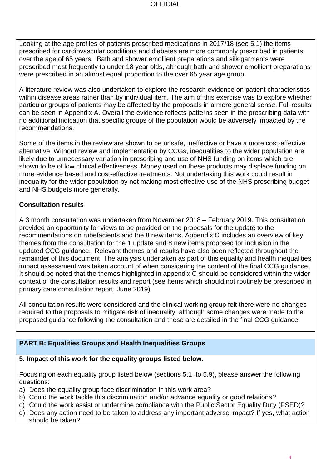Looking at the age profiles of patients prescribed medications in 2017/18 (see 5.1) the items prescribed for cardiovascular conditions and diabetes are more commonly prescribed in patients over the age of 65 years. Bath and shower emollient preparations and silk garments were prescribed most frequently to under 18 year olds, although bath and shower emollient preparations were prescribed in an almost equal proportion to the over 65 year age group.

A literature review was also undertaken to explore the research evidence on patient characteristics within disease areas rather than by individual item. The aim of this exercise was to explore whether particular groups of patients may be affected by the proposals in a more general sense. Full results can be seen in Appendix A. Overall the evidence reflects patterns seen in the prescribing data with no additional indication that specific groups of the population would be adversely impacted by the recommendations.

Some of the items in the review are shown to be unsafe, ineffective or have a more cost-effective alternative. Without review and implementation by CCGs, inequalities to the wider population are likely due to unnecessary variation in prescribing and use of NHS funding on items which are shown to be of low clinical effectiveness. Money used on these products may displace funding on more evidence based and cost-effective treatments. Not undertaking this work could result in inequality for the wider population by not making most effective use of the NHS prescribing budget and NHS budgets more generally.

## **Consultation results**

A 3 month consultation was undertaken from November 2018 – February 2019. This consultation provided an opportunity for views to be provided on the proposals for the update to the recommendations on rubefacients and the 8 new items. Appendix C includes an overview of key themes from the consultation for the 1 update and 8 new items proposed for inclusion in the updated CCG guidance. Relevant themes and results have also been reflected throughout the remainder of this document. The analysis undertaken as part of this equality and health inequalities impact assessment was taken account of when considering the content of the final CCG guidance. It should be noted that the themes highlighted in appendix C should be considered within the wider context of the consultation results and report (see Items which should not routinely be prescribed in primary care consultation report, June 2019).

All consultation results were considered and the clinical working group felt there were no changes required to the proposals to mitigate risk of inequality, although some changes were made to the proposed guidance following the consultation and these are detailed in the final CCG guidance.

## **PART B: Equalities Groups and Health Inequalities Groups**

### **5. Impact of this work for the equality groups listed below.**

Focusing on each equality group listed below (sections 5.1. to 5.9), please answer the following questions:

- a) Does the equality group face discrimination in this work area?
- b) Could the work tackle this discrimination and/or advance equality or good relations?
- c) Could the work assist or undermine compliance with the Public Sector Equality Duty (PSED)?
- d) Does any action need to be taken to address any important adverse impact? If yes, what action should be taken?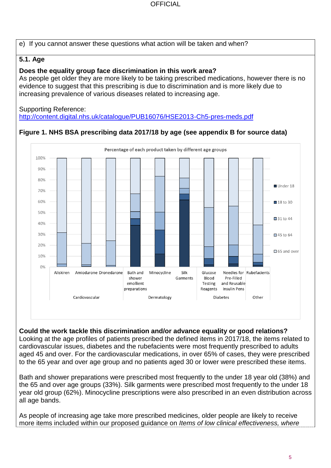e) If you cannot answer these questions what action will be taken and when?

## **5.1. Age**

#### **Does the equality group face discrimination in this work area?**

As people get older they are more likely to be taking prescribed medications, however there is no evidence to suggest that this prescribing is due to discrimination and is more likely due to increasing prevalence of various diseases related to increasing age.

#### Supporting Reference:

<http://content.digital.nhs.uk/catalogue/PUB16076/HSE2013-Ch5-pres-meds.pdf>

#### Percentage of each product taken by different age groups 100%  $90%$ 80% Under 18 70% 60% ■18 to 30 50% ■31 to 44 40% 30% **145 to 64** 20% 65 and over 10%  $0%$ Aliskiren Amiodarone Dronedarone Bath and Minocycline Silk Glucose Needles for Rubefacients **Blood** Pre-Filled shower Garments emollient Testing and Reusable Reagents Insulin Pens preparations Other Cardiovascular Dermatology **Diabetes**

## **Figure 1. NHS BSA prescribing data 2017/18 by age (see appendix B for source data)**

#### **Could the work tackle this discrimination and/or advance equality or good relations?** Looking at the age profiles of patients prescribed the defined items in 2017/18, the items related to

cardiovascular issues, diabetes and the rubefacients were most frequently prescribed to adults aged 45 and over. For the cardiovascular medications, in over 65% of cases, they were prescribed to the 65 year and over age group and no patients aged 30 or lower were prescribed these items.

Bath and shower preparations were prescribed most frequently to the under 18 year old (38%) and the 65 and over age groups (33%). Silk garments were prescribed most frequently to the under 18 year old group (62%). Minocycline prescriptions were also prescribed in an even distribution across all age bands.

As people of increasing age take more prescribed medicines, older people are likely to receive more items included within our proposed guidance on *Items of low clinical effectiveness, where*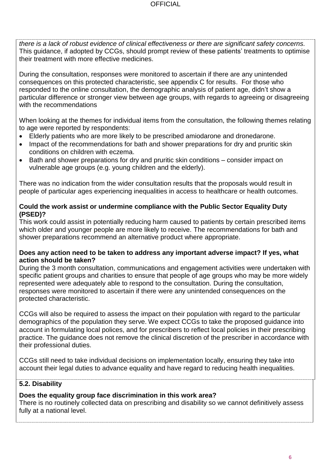*there is a lack of robust evidence of clinical effectiveness or there are significant safety concerns.* This guidance, if adopted by CCGs, should prompt review of these patients' treatments to optimise their treatment with more effective medicines.

During the consultation, responses were monitored to ascertain if there are any unintended consequences on this protected characteristic, see appendix C for results. For those who responded to the online consultation, the demographic analysis of patient age, didn't show a particular difference or stronger view between age groups, with regards to agreeing or disagreeing with the recommendations

When looking at the themes for individual items from the consultation, the following themes relating to age were reported by respondents:

- Elderly patients who are more likely to be prescribed amiodarone and dronedarone.
- Impact of the recommendations for bath and shower preparations for dry and pruritic skin conditions on children with eczema.
- Bath and shower preparations for dry and pruritic skin conditions consider impact on vulnerable age groups (e.g. young children and the elderly).

There was no indication from the wider consultation results that the proposals would result in people of particular ages experiencing inequalities in access to healthcare or health outcomes.

### **Could the work assist or undermine compliance with the Public Sector Equality Duty (PSED)?**

This work could assist in potentially reducing harm caused to patients by certain prescribed items which older and younger people are more likely to receive. The recommendations for bath and shower preparations recommend an alternative product where appropriate.

#### **Does any action need to be taken to address any important adverse impact? If yes, what action should be taken?**

During the 3 month consultation, communications and engagement activities were undertaken with specific patient groups and charities to ensure that people of age groups who may be more widely represented were adequately able to respond to the consultation. During the consultation, responses were monitored to ascertain if there were any unintended consequences on the protected characteristic.

CCGs will also be required to assess the impact on their population with regard to the particular demographics of the population they serve. We expect CCGs to take the proposed guidance into account in formulating local polices, and for prescribers to reflect local policies in their prescribing practice. The guidance does not remove the clinical discretion of the prescriber in accordance with their professional duties.

CCGs still need to take individual decisions on implementation locally, ensuring they take into account their legal duties to advance equality and have regard to reducing health inequalities.

## **5.2. Disability**

### **Does the equality group face discrimination in this work area?**

There is no routinely collected data on prescribing and disability so we cannot definitively assess fully at a national level.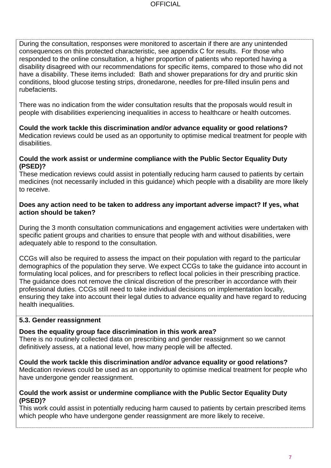During the consultation, responses were monitored to ascertain if there are any unintended consequences on this protected characteristic, see appendix C for results. For those who responded to the online consultation, a higher proportion of patients who reported having a disability disagreed with our recommendations for specific items, compared to those who did not have a disability. These items included: Bath and shower preparations for dry and pruritic skin conditions, blood glucose testing strips, dronedarone, needles for pre-filled insulin pens and rubefacients.

There was no indication from the wider consultation results that the proposals would result in people with disabilities experiencing inequalities in access to healthcare or health outcomes.

**Could the work tackle this discrimination and/or advance equality or good relations?**  Medication reviews could be used as an opportunity to optimise medical treatment for people with disabilities.

#### **Could the work assist or undermine compliance with the Public Sector Equality Duty (PSED)?**

These medication reviews could assist in potentially reducing harm caused to patients by certain medicines (not necessarily included in this guidance) which people with a disability are more likely to receive.

#### **Does any action need to be taken to address any important adverse impact? If yes, what action should be taken?**

During the 3 month consultation communications and engagement activities were undertaken with specific patient groups and charities to ensure that people with and without disabilities, were adequately able to respond to the consultation.

CCGs will also be required to assess the impact on their population with regard to the particular demographics of the population they serve. We expect CCGs to take the guidance into account in formulating local polices, and for prescribers to reflect local policies in their prescribing practice. The guidance does not remove the clinical discretion of the prescriber in accordance with their professional duties. CCGs still need to take individual decisions on implementation locally, ensuring they take into account their legal duties to advance equality and have regard to reducing health inequalities.

### **5.3. Gender reassignment**

### **Does the equality group face discrimination in this work area?**

There is no routinely collected data on prescribing and gender reassignment so we cannot definitively assess, at a national level, how many people will be affected.

**Could the work tackle this discrimination and/or advance equality or good relations?** Medication reviews could be used as an opportunity to optimise medical treatment for people who have undergone gender reassignment.

#### **Could the work assist or undermine compliance with the Public Sector Equality Duty (PSED)?**

This work could assist in potentially reducing harm caused to patients by certain prescribed items which people who have undergone gender reassignment are more likely to receive.

7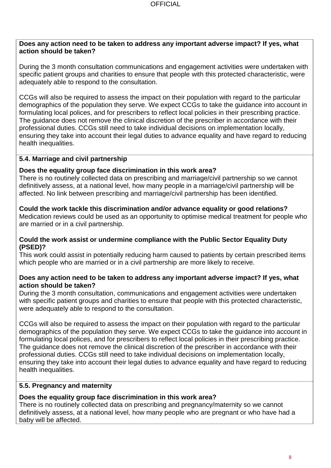## **Does any action need to be taken to address any important adverse impact? If yes, what action should be taken?**

During the 3 month consultation communications and engagement activities were undertaken with specific patient groups and charities to ensure that people with this protected characteristic, were adequately able to respond to the consultation.

CCGs will also be required to assess the impact on their population with regard to the particular demographics of the population they serve. We expect CCGs to take the guidance into account in formulating local polices, and for prescribers to reflect local policies in their prescribing practice. The guidance does not remove the clinical discretion of the prescriber in accordance with their professional duties. CCGs still need to take individual decisions on implementation locally, ensuring they take into account their legal duties to advance equality and have regard to reducing health inequalities.

### **5.4. Marriage and civil partnership**

### **Does the equality group face discrimination in this work area?**

There is no routinely collected data on prescribing and marriage/civil partnership so we cannot definitively assess, at a national level, how many people in a marriage/civil partnership will be affected. No link between prescribing and marriage/civil partnership has been identified.

## **Could the work tackle this discrimination and/or advance equality or good relations?**

Medication reviews could be used as an opportunity to optimise medical treatment for people who are married or in a civil partnership.

#### **Could the work assist or undermine compliance with the Public Sector Equality Duty (PSED)?**

This work could assist in potentially reducing harm caused to patients by certain prescribed items which people who are married or in a civil partnership are more likely to receive.

#### **Does any action need to be taken to address any important adverse impact? If yes, what action should be taken?**

During the 3 month consultation, communications and engagement activities were undertaken with specific patient groups and charities to ensure that people with this protected characteristic, were adequately able to respond to the consultation.

CCGs will also be required to assess the impact on their population with regard to the particular demographics of the population they serve. We expect CCGs to take the guidance into account in formulating local polices, and for prescribers to reflect local policies in their prescribing practice. The guidance does not remove the clinical discretion of the prescriber in accordance with their professional duties. CCGs still need to take individual decisions on implementation locally, ensuring they take into account their legal duties to advance equality and have regard to reducing health inequalities.

### **5.5. Pregnancy and maternity**

## **Does the equality group face discrimination in this work area?**

There is no routinely collected data on prescribing and pregnancy/maternity so we cannot definitively assess, at a national level, how many people who are pregnant or who have had a baby will be affected.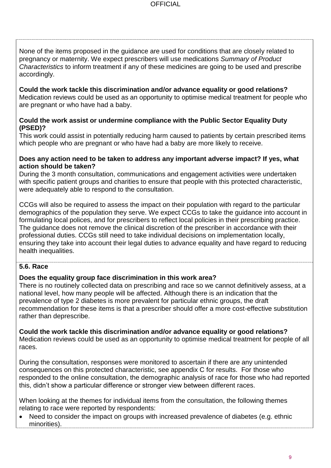None of the items proposed in the guidance are used for conditions that are closely related to pregnancy or maternity. We expect prescribers will use medications *Summary of Product Characteristics* to inform treatment if any of these medicines are going to be used and prescribe accordingly.

**Could the work tackle this discrimination and/or advance equality or good relations?** Medication reviews could be used as an opportunity to optimise medical treatment for people who are pregnant or who have had a baby.

#### **Could the work assist or undermine compliance with the Public Sector Equality Duty (PSED)?**

This work could assist in potentially reducing harm caused to patients by certain prescribed items which people who are pregnant or who have had a baby are more likely to receive.

#### **Does any action need to be taken to address any important adverse impact? If yes, what action should be taken?**

During the 3 month consultation, communications and engagement activities were undertaken with specific patient groups and charities to ensure that people with this protected characteristic, were adequately able to respond to the consultation.

CCGs will also be required to assess the impact on their population with regard to the particular demographics of the population they serve. We expect CCGs to take the guidance into account in formulating local polices, and for prescribers to reflect local policies in their prescribing practice. The guidance does not remove the clinical discretion of the prescriber in accordance with their professional duties. CCGs still need to take individual decisions on implementation locally, ensuring they take into account their legal duties to advance equality and have regard to reducing health inequalities.

### **5.6. Race**

### **Does the equality group face discrimination in this work area?**

There is no routinely collected data on prescribing and race so we cannot definitively assess, at a national level, how many people will be affected. Although there is an indication that the prevalence of type 2 diabetes is more prevalent for particular ethnic groups, the draft recommendation for these items is that a prescriber should offer a more cost-effective substitution rather than deprescribe.

**Could the work tackle this discrimination and/or advance equality or good relations?** Medication reviews could be used as an opportunity to optimise medical treatment for people of all races.

During the consultation, responses were monitored to ascertain if there are any unintended consequences on this protected characteristic, see appendix C for results. For those who responded to the online consultation, the demographic analysis of race for those who had reported this, didn't show a particular difference or stronger view between different races.

When looking at the themes for individual items from the consultation, the following themes relating to race were reported by respondents:

Need to consider the impact on groups with increased prevalence of diabetes (e.g. ethnic minorities).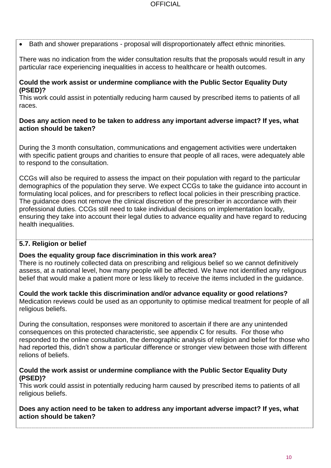• Bath and shower preparations - proposal will disproportionately affect ethnic minorities.

There was no indication from the wider consultation results that the proposals would result in any particular race experiencing inequalities in access to healthcare or health outcomes.

#### **Could the work assist or undermine compliance with the Public Sector Equality Duty (PSED)?**

This work could assist in potentially reducing harm caused by prescribed items to patients of all races.

#### **Does any action need to be taken to address any important adverse impact? If yes, what action should be taken?**

During the 3 month consultation, communications and engagement activities were undertaken with specific patient groups and charities to ensure that people of all races, were adequately able to respond to the consultation.

CCGs will also be required to assess the impact on their population with regard to the particular demographics of the population they serve. We expect CCGs to take the guidance into account in formulating local polices, and for prescribers to reflect local policies in their prescribing practice. The guidance does not remove the clinical discretion of the prescriber in accordance with their professional duties. CCGs still need to take individual decisions on implementation locally, ensuring they take into account their legal duties to advance equality and have regard to reducing health inequalities.

## **5.7. Religion or belief**

### **Does the equality group face discrimination in this work area?**

There is no routinely collected data on prescribing and religious belief so we cannot definitively assess, at a national level, how many people will be affected. We have not identified any religious belief that would make a patient more or less likely to receive the items included in the guidance.

**Could the work tackle this discrimination and/or advance equality or good relations?** Medication reviews could be used as an opportunity to optimise medical treatment for people of all religious beliefs.

During the consultation, responses were monitored to ascertain if there are any unintended consequences on this protected characteristic, see appendix C for results. For those who responded to the online consultation, the demographic analysis of religion and belief for those who had reported this, didn't show a particular difference or stronger view between those with different relions of beliefs.

#### **Could the work assist or undermine compliance with the Public Sector Equality Duty (PSED)?**

This work could assist in potentially reducing harm caused by prescribed items to patients of all religious beliefs.

**Does any action need to be taken to address any important adverse impact? If yes, what action should be taken?**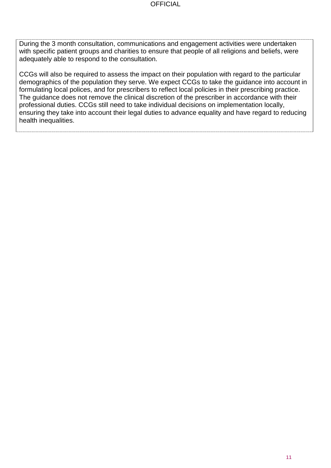During the 3 month consultation, communications and engagement activities were undertaken with specific patient groups and charities to ensure that people of all religions and beliefs, were adequately able to respond to the consultation.

CCGs will also be required to assess the impact on their population with regard to the particular demographics of the population they serve. We expect CCGs to take the guidance into account in formulating local polices, and for prescribers to reflect local policies in their prescribing practice. The guidance does not remove the clinical discretion of the prescriber in accordance with their professional duties. CCGs still need to take individual decisions on implementation locally, ensuring they take into account their legal duties to advance equality and have regard to reducing health inequalities.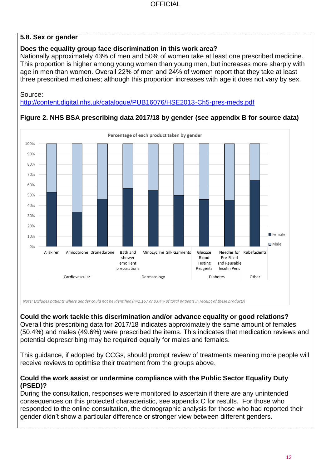## **5.8. Sex or gender**

## **Does the equality group face discrimination in this work area?**

Nationally approximately 43% of men and 50% of women take at least one prescribed medicine. This proportion is higher among young women than young men, but increases more sharply with age in men than women. Overall 22% of men and 24% of women report that they take at least three prescribed medicines; although this proportion increases with age it does not vary by sex.

Source:

<http://content.digital.nhs.uk/catalogue/PUB16076/HSE2013-Ch5-pres-meds.pdf>



## **Figure 2. NHS BSA prescribing data 2017/18 by gender (see appendix B for source data)**

**Could the work tackle this discrimination and/or advance equality or good relations?** Overall this prescribing data for 2017/18 indicates approximately the same amount of females (50.4%) and males (49.6%) were prescribed the items. This indicates that medication reviews and potential deprescribing may be required equally for males and females.

This guidance, if adopted by CCGs, should prompt review of treatments meaning more people will receive reviews to optimise their treatment from the groups above.

#### **Could the work assist or undermine compliance with the Public Sector Equality Duty (PSED)?**

During the consultation, responses were monitored to ascertain if there are any unintended consequences on this protected characteristic, see appendix C for results. For those who responded to the online consultation, the demographic analysis for those who had reported their gender didn't show a particular difference or stronger view between different genders.

12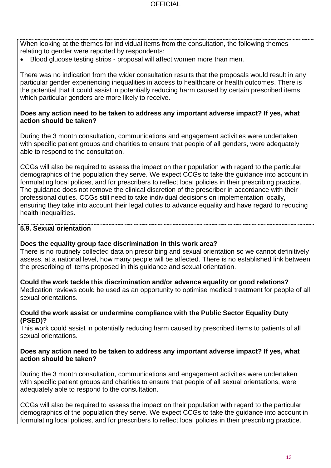When looking at the themes for individual items from the consultation, the following themes relating to gender were reported by respondents:

• Blood glucose testing strips - proposal will affect women more than men.

There was no indication from the wider consultation results that the proposals would result in any particular gender experiencing inequalities in access to healthcare or health outcomes. There is the potential that it could assist in potentially reducing harm caused by certain prescribed items which particular genders are more likely to receive.

#### **Does any action need to be taken to address any important adverse impact? If yes, what action should be taken?**

During the 3 month consultation, communications and engagement activities were undertaken with specific patient groups and charities to ensure that people of all genders, were adequately able to respond to the consultation.

CCGs will also be required to assess the impact on their population with regard to the particular demographics of the population they serve. We expect CCGs to take the guidance into account in formulating local polices, and for prescribers to reflect local policies in their prescribing practice. The guidance does not remove the clinical discretion of the prescriber in accordance with their professional duties. CCGs still need to take individual decisions on implementation locally, ensuring they take into account their legal duties to advance equality and have regard to reducing health inequalities.

### **5.9. Sexual orientation**

#### **Does the equality group face discrimination in this work area?**

There is no routinely collected data on prescribing and sexual orientation so we cannot definitively assess, at a national level, how many people will be affected. There is no established link between the prescribing of items proposed in this guidance and sexual orientation.

**Could the work tackle this discrimination and/or advance equality or good relations?** Medication reviews could be used as an opportunity to optimise medical treatment for people of all sexual orientations.

#### **Could the work assist or undermine compliance with the Public Sector Equality Duty (PSED)?**

This work could assist in potentially reducing harm caused by prescribed items to patients of all sexual orientations.

#### **Does any action need to be taken to address any important adverse impact? If yes, what action should be taken?**

During the 3 month consultation, communications and engagement activities were undertaken with specific patient groups and charities to ensure that people of all sexual orientations, were adequately able to respond to the consultation.

CCGs will also be required to assess the impact on their population with regard to the particular demographics of the population they serve. We expect CCGs to take the guidance into account in formulating local polices, and for prescribers to reflect local policies in their prescribing practice.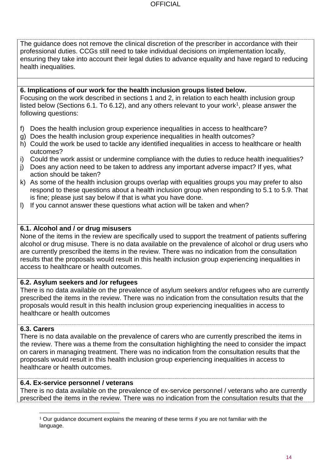The guidance does not remove the clinical discretion of the prescriber in accordance with their professional duties. CCGs still need to take individual decisions on implementation locally, ensuring they take into account their legal duties to advance equality and have regard to reducing health inequalities.

#### **6. Implications of our work for the health inclusion groups listed below.**

Focusing on the work described in sections 1 and 2, in relation to each health inclusion group listed below (Sections 6.1. To 6.12), and any others relevant to your work<sup>1</sup>, please answer the following questions:

- f) Does the health inclusion group experience inequalities in access to healthcare?
- g) Does the health inclusion group experience inequalities in health outcomes?
- h) Could the work be used to tackle any identified inequalities in access to healthcare or health outcomes?
- i) Could the work assist or undermine compliance with the duties to reduce health inequalities?
- j) Does any action need to be taken to address any important adverse impact? If yes, what action should be taken?
- k) As some of the health inclusion groups overlap with equalities groups you may prefer to also respond to these questions about a health inclusion group when responding to 5.1 to 5.9. That is fine; please just say below if that is what you have done.
- l) If you cannot answer these questions what action will be taken and when?

#### **6.1. Alcohol and / or drug misusers**

None of the items in the review are specifically used to support the treatment of patients suffering alcohol or drug misuse. There is no data available on the prevalence of alcohol or drug users who are currently prescribed the items in the review. There was no indication from the consultation results that the proposals would result in this health inclusion group experiencing inequalities in access to healthcare or health outcomes.

#### **6.2. Asylum seekers and /or refugees**

There is no data available on the prevalence of asylum seekers and/or refugees who are currently prescribed the items in the review. There was no indication from the consultation results that the proposals would result in this health inclusion group experiencing inequalities in access to healthcare or health outcomes

#### **6.3. Carers**

There is no data available on the prevalence of carers who are currently prescribed the items in the review. There was a theme from the consultation highlighting the need to consider the impact on carers in managing treatment. There was no indication from the consultation results that the proposals would result in this health inclusion group experiencing inequalities in access to healthcare or health outcomes.

#### **6.4. Ex-service personnel / veterans**

There is no data available on the prevalence of ex-service personnel / veterans who are currently prescribed the items in the review. There was no indication from the consultation results that the

 $\overline{a}$ <sup>1</sup> Our guidance document explains the meaning of these terms if you are not familiar with the language.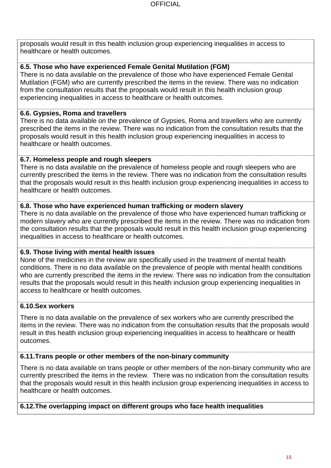proposals would result in this health inclusion group experiencing inequalities in access to healthcare or health outcomes.

## **6.5. Those who have experienced Female Genital Mutilation (FGM)**

There is no data available on the prevalence of those who have experienced Female Genital Mutilation (FGM) who are currently prescribed the items in the review. There was no indication from the consultation results that the proposals would result in this health inclusion group experiencing inequalities in access to healthcare or health outcomes.

### **6.6. Gypsies, Roma and travellers**

There is no data available on the prevalence of Gypsies, Roma and travellers who are currently prescribed the items in the review. There was no indication from the consultation results that the proposals would result in this health inclusion group experiencing inequalities in access to healthcare or health outcomes.

## **6.7. Homeless people and rough sleepers**

There is no data available on the prevalence of homeless people and rough sleepers who are currently prescribed the items in the review. There was no indication from the consultation results that the proposals would result in this health inclusion group experiencing inequalities in access to healthcare or health outcomes.

### **6.8. Those who have experienced human trafficking or modern slavery**

There is no data available on the prevalence of those who have experienced human trafficking or modern slavery who are currently prescribed the items in the review. There was no indication from the consultation results that the proposals would result in this health inclusion group experiencing inequalities in access to healthcare or health outcomes.

### **6.9. Those living with mental health issues**

None of the medicines in the review are specifically used in the treatment of mental health conditions. There is no data available on the prevalence of people with mental health conditions who are currently prescribed the items in the review. There was no indication from the consultation results that the proposals would result in this health inclusion group experiencing inequalities in access to healthcare or health outcomes.

## **6.10.Sex workers**

There is no data available on the prevalence of sex workers who are currently prescribed the items in the review. There was no indication from the consultation results that the proposals would result in this health inclusion group experiencing inequalities in access to healthcare or health outcomes.

### **6.11.Trans people or other members of the non-binary community**

There is no data available on trans people or other members of the non-binary community who are currently prescribed the items in the review. There was no indication from the consultation results that the proposals would result in this health inclusion group experiencing inequalities in access to healthcare or health outcomes.

**6.12.The overlapping impact on different groups who face health inequalities**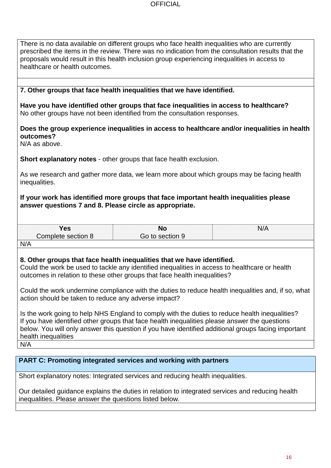| There is no data available on different groups who face health inequalities who are currently      |
|----------------------------------------------------------------------------------------------------|
| prescribed the items in the review. There was no indication from the consultation results that the |
| proposals would result in this health inclusion group experiencing inequalities in access to       |
| healthcare or health outcomes.                                                                     |

#### **7. Other groups that face health inequalities that we have identified.**

**Have you have identified other groups that face inequalities in access to healthcare?**  No other groups have not been identified from the consultation responses.

#### **Does the group experience inequalities in access to healthcare and/or inequalities in health outcomes?**

N/A as above.

**Short explanatory notes** - other groups that face health exclusion.

As we research and gather more data, we learn more about which groups may be facing health inequalities.

#### **If your work has identified more groups that face important health inequalities please answer questions 7 and 8. Please circle as appropriate.**

| . .  | M | ៶៲៸៱ |
|------|---|------|
| 'es  | ⋯ | M    |
| `omr | . |      |

N/A

#### **8. Other groups that face health inequalities that we have identified.**

Could the work be used to tackle any identified inequalities in access to healthcare or health outcomes in relation to these other groups that face health inequalities?

Could the work undermine compliance with the duties to reduce health inequalities and, if so, what action should be taken to reduce any adverse impact?

Is the work going to help NHS England to comply with the duties to reduce health inequalities? If you have identified other groups that face health inequalities please answer the questions below. You will only answer this question if you have identified additional groups facing important health inequalities

N/A

#### **PART C: Promoting integrated services and working with partners**

Short explanatory notes: Integrated services and reducing health inequalities.

Our detailed guidance explains the duties in relation to integrated services and reducing health inequalities. Please answer the questions listed below.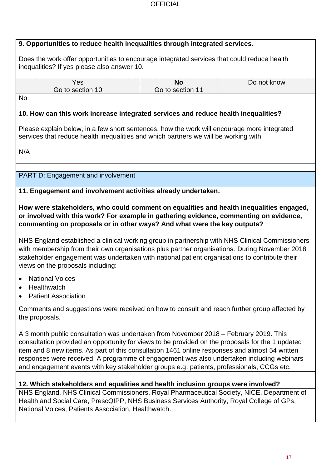|                | 9. Opportunities to reduce health inequalities through integrated services.                                                                                                                                                                                                                                                                                                                                                                                                           |                               |                                                                                                 |
|----------------|---------------------------------------------------------------------------------------------------------------------------------------------------------------------------------------------------------------------------------------------------------------------------------------------------------------------------------------------------------------------------------------------------------------------------------------------------------------------------------------|-------------------------------|-------------------------------------------------------------------------------------------------|
|                | Does the work offer opportunities to encourage integrated services that could reduce health<br>inequalities? If yes please also answer 10.                                                                                                                                                                                                                                                                                                                                            |                               |                                                                                                 |
|                | Yes<br>Go to section 10                                                                                                                                                                                                                                                                                                                                                                                                                                                               | <b>No</b><br>Go to section 11 | Do not know                                                                                     |
| <b>No</b>      |                                                                                                                                                                                                                                                                                                                                                                                                                                                                                       |                               |                                                                                                 |
|                | 10. How can this work increase integrated services and reduce health inequalities?                                                                                                                                                                                                                                                                                                                                                                                                    |                               |                                                                                                 |
|                | Please explain below, in a few short sentences, how the work will encourage more integrated<br>services that reduce health inequalities and which partners we will be working with.                                                                                                                                                                                                                                                                                                   |                               |                                                                                                 |
| N/A            |                                                                                                                                                                                                                                                                                                                                                                                                                                                                                       |                               |                                                                                                 |
|                | <b>PART D: Engagement and involvement</b>                                                                                                                                                                                                                                                                                                                                                                                                                                             |                               |                                                                                                 |
|                |                                                                                                                                                                                                                                                                                                                                                                                                                                                                                       |                               |                                                                                                 |
|                | 11. Engagement and involvement activities already undertaken.                                                                                                                                                                                                                                                                                                                                                                                                                         |                               |                                                                                                 |
|                | How were stakeholders, who could comment on equalities and health inequalities engaged,<br>or involved with this work? For example in gathering evidence, commenting on evidence,<br>commenting on proposals or in other ways? And what were the key outputs?                                                                                                                                                                                                                         |                               |                                                                                                 |
|                | with membership from their own organisations plus partner organisations. During November 2018<br>stakeholder engagement was undertaken with national patient organisations to contribute their<br>views on the proposals including:                                                                                                                                                                                                                                                   |                               | NHS England established a clinical working group in partnership with NHS Clinical Commissioners |
| $\bullet$      | <b>National Voices</b><br>Healthwatch<br><b>Patient Association</b>                                                                                                                                                                                                                                                                                                                                                                                                                   |                               |                                                                                                 |
| the proposals. | Comments and suggestions were received on how to consult and reach further group affected by                                                                                                                                                                                                                                                                                                                                                                                          |                               |                                                                                                 |
|                | A 3 month public consultation was undertaken from November 2018 – February 2019. This<br>consultation provided an opportunity for views to be provided on the proposals for the 1 updated<br>item and 8 new items. As part of this consultation 1461 online responses and almost 54 written<br>responses were received. A programme of engagement was also undertaken including webinars<br>and engagement events with key stakeholder groups e.g. patients, professionals, CCGs etc. |                               |                                                                                                 |
|                | 12. Which stakeholders and equalities and health inclusion groups were involved?<br>NHS England, NHS Clinical Commissioners, Royal Pharmaceutical Society, NICE, Department of<br>Health and Social Care, PrescQIPP, NHS Business Services Authority, Royal College of GPs,<br>National Voices, Patients Association, Healthwatch.                                                                                                                                                    |                               |                                                                                                 |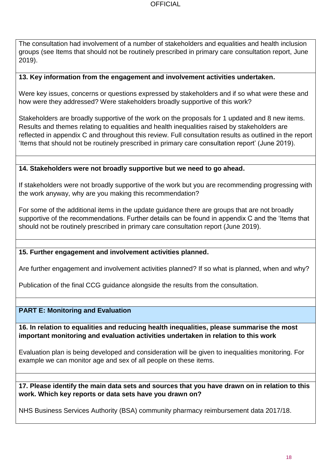The consultation had involvement of a number of stakeholders and equalities and health inclusion groups (see Items that should not be routinely prescribed in primary care consultation report, June 2019).

#### **13. Key information from the engagement and involvement activities undertaken.**

Were key issues, concerns or questions expressed by stakeholders and if so what were these and how were they addressed? Were stakeholders broadly supportive of this work?

Stakeholders are broadly supportive of the work on the proposals for 1 updated and 8 new items. Results and themes relating to equalities and health inequalities raised by stakeholders are reflected in appendix C and throughout this review. Full consultation results as outlined in the report 'Items that should not be routinely prescribed in primary care consultation report' (June 2019).

#### **14. Stakeholders were not broadly supportive but we need to go ahead.**

If stakeholders were not broadly supportive of the work but you are recommending progressing with the work anyway, why are you making this recommendation?

For some of the additional items in the update guidance there are groups that are not broadly supportive of the recommendations. Further details can be found in appendix C and the 'Items that should not be routinely prescribed in primary care consultation report (June 2019).

#### **15. Further engagement and involvement activities planned.**

Are further engagement and involvement activities planned? If so what is planned, when and why?

Publication of the final CCG guidance alongside the results from the consultation.

#### **PART E: Monitoring and Evaluation**

**16. In relation to equalities and reducing health inequalities, please summarise the most important monitoring and evaluation activities undertaken in relation to this work** 

Evaluation plan is being developed and consideration will be given to inequalities monitoring. For example we can monitor age and sex of all people on these items.

#### **17. Please identify the main data sets and sources that you have drawn on in relation to this work. Which key reports or data sets have you drawn on?**

NHS Business Services Authority (BSA) community pharmacy reimbursement data 2017/18.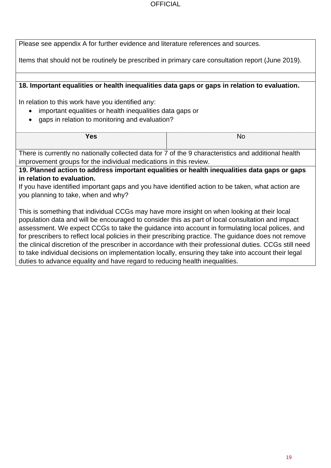| Please see appendix A for further evidence and literature references and sources.                       |           |  |  |  |
|---------------------------------------------------------------------------------------------------------|-----------|--|--|--|
| Items that should not be routinely be prescribed in primary care consultation report (June 2019).       |           |  |  |  |
|                                                                                                         |           |  |  |  |
| 18. Important equalities or health inequalities data gaps or gaps in relation to evaluation.            |           |  |  |  |
| In relation to this work have you identified any:                                                       |           |  |  |  |
| important equalities or health inequalities data gaps or                                                |           |  |  |  |
| gaps in relation to monitoring and evaluation?                                                          |           |  |  |  |
|                                                                                                         |           |  |  |  |
| <b>Yes</b>                                                                                              | <b>No</b> |  |  |  |
| There is currently no nationally collected data for 7 of the 9 characteristics and additional health    |           |  |  |  |
| improvement groups for the individual medications in this review.                                       |           |  |  |  |
| 19. Planned action to address important equalities or health inequalities data gaps or gaps             |           |  |  |  |
| in relation to evaluation.                                                                              |           |  |  |  |
| If you have identified important gaps and you have identified action to be taken, what action are       |           |  |  |  |
| you planning to take, when and why?                                                                     |           |  |  |  |
| This is something that individual CCGs may have more insight on when looking at their local             |           |  |  |  |
| population data and will be encouraged to consider this as part of local consultation and impact        |           |  |  |  |
| assessment. We expect CCGs to take the guidance into account in formulating local polices, and          |           |  |  |  |
| for prescribers to reflect local policies in their prescribing practice. The guidance does not remove   |           |  |  |  |
| the clinical discretion of the prescriber in accordance with their professional duties. CCGs still need |           |  |  |  |
| to take individual decisions on implementation locally, ensuring they take into account their legal     |           |  |  |  |
| duties to advance equality and have regard to reducing health inequalities.                             |           |  |  |  |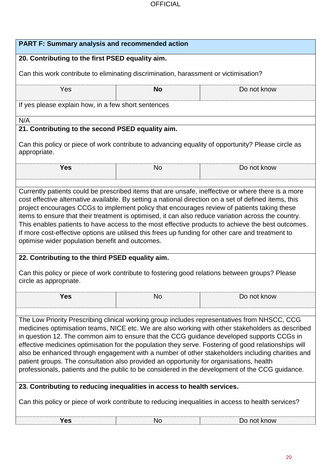| <b>PART F: Summary analysis and recommended action</b>                                                                                                                                                                                                                                                                                                                                                                                                                                                                                                                                                                                                                                                                                                                                                                                                                                                                     |           |                                                                                                    |  |  |  |  |
|----------------------------------------------------------------------------------------------------------------------------------------------------------------------------------------------------------------------------------------------------------------------------------------------------------------------------------------------------------------------------------------------------------------------------------------------------------------------------------------------------------------------------------------------------------------------------------------------------------------------------------------------------------------------------------------------------------------------------------------------------------------------------------------------------------------------------------------------------------------------------------------------------------------------------|-----------|----------------------------------------------------------------------------------------------------|--|--|--|--|
| 20. Contributing to the first PSED equality aim.                                                                                                                                                                                                                                                                                                                                                                                                                                                                                                                                                                                                                                                                                                                                                                                                                                                                           |           |                                                                                                    |  |  |  |  |
| Can this work contribute to eliminating discrimination, harassment or victimisation?                                                                                                                                                                                                                                                                                                                                                                                                                                                                                                                                                                                                                                                                                                                                                                                                                                       |           |                                                                                                    |  |  |  |  |
| Do not know<br>Yes<br><b>No</b>                                                                                                                                                                                                                                                                                                                                                                                                                                                                                                                                                                                                                                                                                                                                                                                                                                                                                            |           |                                                                                                    |  |  |  |  |
| If yes please explain how, in a few short sentences                                                                                                                                                                                                                                                                                                                                                                                                                                                                                                                                                                                                                                                                                                                                                                                                                                                                        |           |                                                                                                    |  |  |  |  |
| N/A                                                                                                                                                                                                                                                                                                                                                                                                                                                                                                                                                                                                                                                                                                                                                                                                                                                                                                                        |           |                                                                                                    |  |  |  |  |
| 21. Contributing to the second PSED equality aim.<br>appropriate.                                                                                                                                                                                                                                                                                                                                                                                                                                                                                                                                                                                                                                                                                                                                                                                                                                                          |           | Can this policy or piece of work contribute to advancing equality of opportunity? Please circle as |  |  |  |  |
| <b>Yes</b>                                                                                                                                                                                                                                                                                                                                                                                                                                                                                                                                                                                                                                                                                                                                                                                                                                                                                                                 | <b>No</b> | Do not know                                                                                        |  |  |  |  |
| Currently patients could be prescribed items that are unsafe, ineffective or where there is a more<br>cost effective alternative available. By setting a national direction on a set of defined items, this<br>project encourages CCGs to implement policy that encourages review of patients taking these<br>items to ensure that their treatment is optimised, it can also reduce variation across the country.<br>This enables patients to have access to the most effective products to achieve the best outcomes.<br>If more cost-effective options are utilised this frees up funding for other care and treatment to<br>optimise wider population benefit and outcomes.<br>22. Contributing to the third PSED equality aim.<br>Can this policy or piece of work contribute to fostering good relations between groups? Please<br>circle as appropriate.                                                             |           |                                                                                                    |  |  |  |  |
| <b>Yes</b>                                                                                                                                                                                                                                                                                                                                                                                                                                                                                                                                                                                                                                                                                                                                                                                                                                                                                                                 | <b>No</b> | Do not know                                                                                        |  |  |  |  |
| The Low Priority Prescribing clinical working group includes representatives from NHSCC, CCG<br>medicines optimisation teams, NICE etc. We are also working with other stakeholders as described<br>in question 12. The common aim to ensure that the CCG guidance developed supports CCGs in<br>effective medicines optimisation for the population they serve. Fostering of good relationships will<br>also be enhanced through engagement with a number of other stakeholders including charities and<br>patient groups. The consultation also provided an opportunity for organisations, health<br>professionals, patients and the public to be considered in the development of the CCG guidance.<br>23. Contributing to reducing inequalities in access to health services.<br>Can this policy or piece of work contribute to reducing inequalities in access to health services?<br>Do not know<br><b>Yes</b><br>No |           |                                                                                                    |  |  |  |  |
|                                                                                                                                                                                                                                                                                                                                                                                                                                                                                                                                                                                                                                                                                                                                                                                                                                                                                                                            |           |                                                                                                    |  |  |  |  |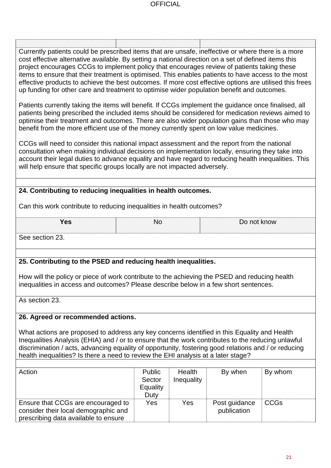Currently patients could be prescribed items that are unsafe, ineffective or where there is a more cost effective alternative available. By setting a national direction on a set of defined items this project encourages CCGs to implement policy that encourages review of patients taking these items to ensure that their treatment is optimised. This enables patients to have access to the most effective products to achieve the best outcomes. If more cost effective options are utilised this frees up funding for other care and treatment to optimise wider population benefit and outcomes.

Patients currently taking the items will benefit. If CCGs implement the guidance once finalised, all patients being prescribed the included items should be considered for medication reviews aimed to optimise their treatment and outcomes. There are also wider population gains than those who may benefit from the more efficient use of the money currently spent on low value medicines.

CCGs will need to consider this national impact assessment and the report from the national consultation when making individual decisions on implementation locally, ensuring they take into account their legal duties to advance equality and have regard to reducing health inequalities. This will help ensure that specific groups locally are not impacted adversely.

## **24. Contributing to reducing inequalities in health outcomes.**

Can this work contribute to reducing inequalities in health outcomes?

**Yes**  $\begin{array}{ccc} \vert & \vert & \vert & \vert \vert \end{array}$  No  $\begin{array}{ccc} \vert & \vert & \vert & \vert \vert \end{array}$  Do not know

See section 23.

### **25. Contributing to the PSED and reducing health inequalities.**

How will the policy or piece of work contribute to the achieving the PSED and reducing health inequalities in access and outcomes? Please describe below in a few short sentences.

As section 23.

#### **26. Agreed or recommended actions.**

What actions are proposed to address any key concerns identified in this Equality and Health Inequalities Analysis (EHIA) and / or to ensure that the work contributes to the reducing unlawful discrimination / acts, advancing equality of opportunity, fostering good relations and / or reducing health inequalities? Is there a need to review the EHI analysis at a later stage?

| Action                                                                                                             | Public<br>Sector | Health<br>Inequality | By when                      | By whom     |
|--------------------------------------------------------------------------------------------------------------------|------------------|----------------------|------------------------------|-------------|
|                                                                                                                    | Equality<br>Duty |                      |                              |             |
| Ensure that CCGs are encouraged to<br>consider their local demographic and<br>prescribing data available to ensure | Yes              | Yes                  | Post guidance<br>publication | <b>CCGs</b> |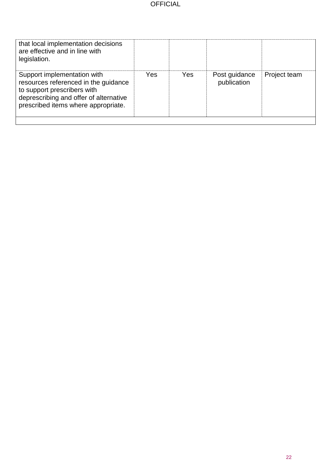| that local implementation decisions<br>are effective and in line with<br>legislation.                                                                                               |     |     |                              |              |
|-------------------------------------------------------------------------------------------------------------------------------------------------------------------------------------|-----|-----|------------------------------|--------------|
| Support implementation with<br>resources referenced in the guidance<br>to support prescribers with<br>deprescribing and offer of alternative<br>prescribed items where appropriate. | Yes | Yes | Post guidance<br>publication | Project team |
|                                                                                                                                                                                     |     |     |                              |              |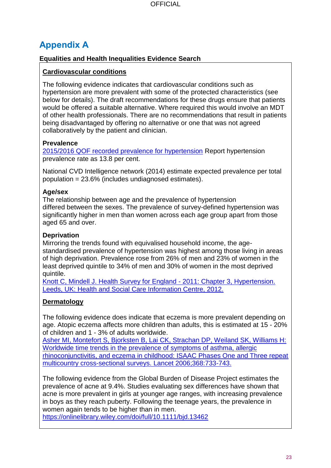# **Appendix A**

## **Equalities and Health Inequalities Evidence Search**

## **Cardiovascular conditions**

The following evidence indicates that cardiovascular conditions such as hypertension are more prevalent with some of the protected characteristics (see below for details). The draft recommendations for these drugs ensure that patients would be offered a suitable alternative. Where required this would involve an MDT of other health professionals. There are no recommendations that result in patients being disadvantaged by offering no alternative or one that was not agreed collaboratively by the patient and clinician.

## **Prevalence**

[2015/2016 QOF recorded prevalence for hypertension](http://content.digital.nhs.uk/article/2021/Website-Search?productid=23378&q=QoF+depression&sort=Relevance&size=10&page=1&area=both#top) Report hypertension prevalence rate as 13.8 per cent.

National CVD Intelligence network (2014) estimate expected prevalence per total population = 23.6% (includes undiagnosed estimates).

## **Age/sex**

The relationship between age and the prevalence of hypertension differed between the sexes. The prevalence of survey-defined hypertension was significantly higher in men than women across each age group apart from those aged 65 and over.

## **Deprivation**

Mirroring the trends found with equivalised household income, the agestandardised prevalence of hypertension was highest among those living in areas of high deprivation. Prevalence rose from 26% of men and 23% of women in the least deprived quintile to 34% of men and 30% of women in the most deprived quintile.

[Knott C, Mindell J. Health Survey for England -](http://www.google.co.uk/url?sa=t&rct=j&q=&esrc=s&source=web&cd=3&cad=rja&uact=8&ved=0ahUKEwjwncP74dHUAhXCKVAKHYTKCpAQFgg0MAI&url=http%3A%2F%2Fcontent.digital.nhs.uk%2Fcatalogue%2FPUB09300%2FHSE2011-Ch3-Hypertension.pdf&usg=AFQjCNGQORle6TTZ0z9TSIytyO00xLBVTQ) 2011: Chapter 3, Hypertension. [Leeds, UK: Health and Social Care Information Centre, 2012.](http://www.google.co.uk/url?sa=t&rct=j&q=&esrc=s&source=web&cd=3&cad=rja&uact=8&ved=0ahUKEwjwncP74dHUAhXCKVAKHYTKCpAQFgg0MAI&url=http%3A%2F%2Fcontent.digital.nhs.uk%2Fcatalogue%2FPUB09300%2FHSE2011-Ch3-Hypertension.pdf&usg=AFQjCNGQORle6TTZ0z9TSIytyO00xLBVTQ)

## **Dermatology**

The following evidence does indicate that eczema is more prevalent depending on age. Atopic eczema affects more children than adults, this is estimated at 15 - 20% of children and 1 - 3% of adults worldwide.

[Asher MI, Montefort S, Bjorksten B, Lai CK, Strachan DP, Weiland SK, Williams H:](https://www.ncbi.nlm.nih.gov/pubmed/16935684)  Worldwide time trends in the prevalence of symptoms of asthma, allergic [rhinoconjunctivitis, and eczema in childhood: ISAAC Phases One and Three repeat](https://www.ncbi.nlm.nih.gov/pubmed/16935684)  [multicountry cross-sectional surveys. Lancet 2006;368:733-743.](https://www.ncbi.nlm.nih.gov/pubmed/16935684)

The following evidence from the Global Burden of Disease Project estimates the prevalence of acne at 9.4%. Studies evaluating sex differences have shown that acne is more prevalent in girls at younger age ranges, with increasing prevalence in boys as they reach puberty. Following the teenage years, the prevalence in women again tends to be higher than in men.

<https://onlinelibrary.wiley.com/doi/full/10.1111/bjd.13462>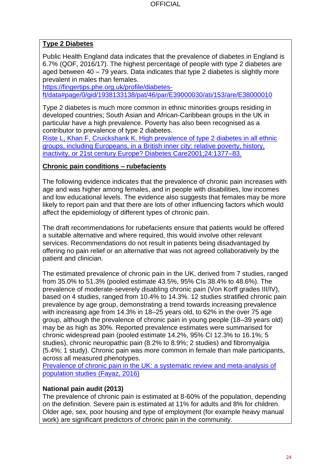## **Type 2 Diabetes**

Public Health England data indicates that the prevalence of diabetes in England is 6.7% (QOF, 2016/17). The highest percentage of people with type 2 diabetes are aged between 40 – 79 years. Data indicates that type 2 diabetes is slightly more prevalent in males than females.

[https://fingertips.phe.org.uk/profile/diabetes](https://fingertips.phe.org.uk/profile/diabetes-ft/data#page/0/gid/1938133138/pat/46/par/E39000030/ati/153/are/E38000010)[ft/data#page/0/gid/1938133138/pat/46/par/E39000030/ati/153/are/E38000010](https://fingertips.phe.org.uk/profile/diabetes-ft/data#page/0/gid/1938133138/pat/46/par/E39000030/ati/153/are/E38000010)

Type 2 diabetes is much more common in ethnic minorities groups residing in developed countries; South Asian and African-Caribbean groups in the UK in particular have a high prevalence. Poverty has also been recognised as a contributor to prevalence of type 2 diabetes.

[Riste L, Khan F, Cruickshank K. High prevalence of type 2 diabetes in all ethnic](http://care.diabetesjournals.org/content/24/8/1377?ijkey=eb8bd8d9321227042866ac70ad05e79be5de864e&keytype2=tf_ipsecsha)  [groups, including Europeans, in a British inner city: relative poverty, history,](http://care.diabetesjournals.org/content/24/8/1377?ijkey=eb8bd8d9321227042866ac70ad05e79be5de864e&keytype2=tf_ipsecsha)  [inactivity, or 21st century Europe? Diabetes Care2001;24:1377–83.](http://care.diabetesjournals.org/content/24/8/1377?ijkey=eb8bd8d9321227042866ac70ad05e79be5de864e&keytype2=tf_ipsecsha)

#### **Chronic pain conditions – rubefacients**

The following evidence indicates that the prevalence of chronic pain increases with age and was higher among females, and in people with disabilities, low incomes and low educational levels. The evidence also suggests that females may be more likely to report pain and that there are lots of other influencing factors which would affect the epidemiology of different types of chronic pain.

The draft recommendations for rubefacients ensure that patients would be offered a suitable alternative and where required, this would involve other relevant services. Recommendations do not result in patients being disadvantaged by offering no pain relief or an alternative that was not agreed collaboratively by the patient and clinician.

The estimated prevalence of chronic pain in the UK, derived from 7 studies, ranged from 35.0% to 51.3% (pooled estimate 43.5%, 95% CIs 38.4% to 48.6%). The prevalence of moderate-severely disabling chronic pain (Von Korff grades III/IV), based on 4 studies, ranged from 10.4% to 14.3%. 12 studies stratified chronic pain prevalence by age group, demonstrating a trend towards increasing prevalence with increasing age from 14.3% in 18–25 years old, to 62% in the over 75 age group, although the prevalence of chronic pain in young people (18–39 years old) may be as high as 30%. Reported prevalence estimates were summarised for chronic widespread pain (pooled estimate 14.2%, 95% CI 12.3% to 16.1%; 5 studies), chronic neuropathic pain (8.2% to 8.9%; 2 studies) and fibromyalgia (5.4%; 1 study). Chronic pain was more common in female than male participants, across all measured phenotypes.

[Prevalence of chronic pain in the UK: a systematic review and meta-analysis of](http://bmjopen.bmj.com/content/6/6/e010364)  [population studies \(Fayaz, 2016\)](http://bmjopen.bmj.com/content/6/6/e010364)

### **National pain audit (2013)**

The prevalence of chronic pain is estimated at 8-60% of the population, depending on the definition. Severe pain is estimated at 11% for adults and 8% for children. Older age, sex, poor housing and type of employment (for example heavy manual work) are significant predictors of chronic pain in the community.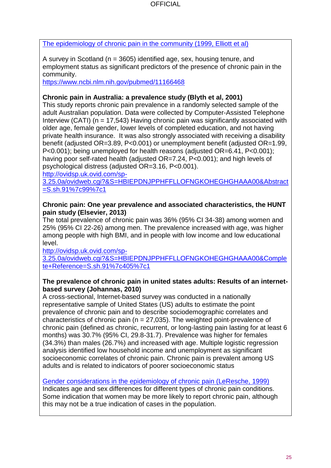[The epidemiology of chronic pain in the community \(1999, Elliott et al\)](https://www.uptodate.com/contents/overview-of-the-treatment-of-chronic-non-cancer-pain/abstract-text/10520633/pubmed)

A survey in Scotland ( $n = 3605$ ) identified age, sex, housing tenure, and employment status as significant predictors of the presence of chronic pain in the community.

<https://www.ncbi.nlm.nih.gov/pubmed/11166468>

## **Chronic pain in Australia: a prevalence study (Blyth et al, 2001)**

This study reports chronic pain prevalence in a randomly selected sample of the adult Australian population. Data were collected by Computer-Assisted Telephone Interview (CATI) ( $n = 17,543$ ) Having chronic pain was significantly associated with older age, female gender, lower levels of completed education, and not having private health insurance. It was also strongly associated with receiving a disability benefit (adjusted OR=3.89, P<0.001) or unemployment benefit (adjusted OR=1.99, P<0.001); being unemployed for health reasons (adjusted OR=6.41, P<0.001); having poor self-rated health (adjusted OR=7.24, P<0.001); and high levels of psychological distress (adjusted OR=3.16, P<0.001).

[http://ovidsp.uk.ovid.com/sp-](http://ovidsp.uk.ovid.com/sp-3.25.0a/ovidweb.cgi?&S=HBIEPDNJPPHFFLLOFNGKOHEGHGHAAA00&Abstract=S.sh.91%7c99%7c1)

[3.25.0a/ovidweb.cgi?&S=HBIEPDNJPPHFFLLOFNGKOHEGHGHAAA00&Abstract](http://ovidsp.uk.ovid.com/sp-3.25.0a/ovidweb.cgi?&S=HBIEPDNJPPHFFLLOFNGKOHEGHGHAAA00&Abstract=S.sh.91%7c99%7c1) [=S.sh.91%7c99%7c1](http://ovidsp.uk.ovid.com/sp-3.25.0a/ovidweb.cgi?&S=HBIEPDNJPPHFFLLOFNGKOHEGHGHAAA00&Abstract=S.sh.91%7c99%7c1)

#### **Chronic pain: One year prevalence and associated characteristics, the HUNT pain study (Elsevier, 2013)**

The total prevalence of chronic pain was 36% (95% CI 34-38) among women and 25% (95% CI 22-26) among men. The prevalence increased with age, was higher among people with high BMI, and in people with low income and low educational level.

[http://ovidsp.uk.ovid.com/sp-](http://ovidsp.uk.ovid.com/sp-3.25.0a/ovidweb.cgi?&S=HBIEPDNJPPHFFLLOFNGKOHEGHGHAAA00&Complete+Reference=S.sh.91%7c405%7c1)

[3.25.0a/ovidweb.cgi?&S=HBIEPDNJPPHFFLLOFNGKOHEGHGHAAA00&Comple](http://ovidsp.uk.ovid.com/sp-3.25.0a/ovidweb.cgi?&S=HBIEPDNJPPHFFLLOFNGKOHEGHGHAAA00&Complete+Reference=S.sh.91%7c405%7c1) [te+Reference=S.sh.91%7c405%7c1](http://ovidsp.uk.ovid.com/sp-3.25.0a/ovidweb.cgi?&S=HBIEPDNJPPHFFLLOFNGKOHEGHGHAAA00&Complete+Reference=S.sh.91%7c405%7c1)

#### **The prevalence of chronic pain in united states adults: Results of an internetbased survey (Johannas, 2010)**

A cross-sectional, Internet-based survey was conducted in a nationally representative sample of United States (US) adults to estimate the point prevalence of chronic pain and to describe sociodemographic correlates and characteristics of chronic pain ( $n = 27,035$ ). The weighted point-prevalence of chronic pain (defined as chronic, recurrent, or long-lasting pain lasting for at least 6 months) was 30.7% (95% CI, 29.8-31.7). Prevalence was higher for females (34.3%) than males (26.7%) and increased with age. Multiple logistic regression analysis identified low household income and unemployment as significant socioeconomic correlates of chronic pain. Chronic pain is prevalent among US adults and is related to indicators of poorer socioeconomic status

### [Gender considerations in the epidemiology of chronic pain \(LeResche, 1999\)](https://www.google.co.uk/?gws_rd=ssl#q=chronic+pain+prevelance+by+gender&spf=1497947507767)

Indicates age and sex differences for different types of chronic pain conditions. Some indication that women may be more likely to report chronic pain, although this may not be a true indication of cases in the population.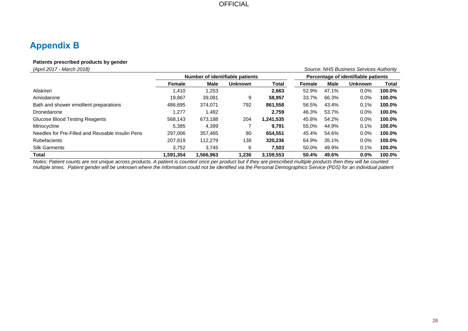# **Appendix B**

#### **Patients prescribed products by gender**

| (April 2017 - March 2018)                        |                                 |           |                |                                     |        |             | Source: NHS Business Services Authority |        |
|--------------------------------------------------|---------------------------------|-----------|----------------|-------------------------------------|--------|-------------|-----------------------------------------|--------|
|                                                  | Number of identifiable patients |           |                | Percentage of identifiable patients |        |             |                                         |        |
|                                                  | Female                          | Male      | <b>Unknown</b> | <b>Total</b>                        | Female | <b>Male</b> | <b>Unknown</b>                          | Total  |
| Aliskiren                                        | 1,410                           | 1,253     |                | 2,663                               | 52.9%  | 47.1%       | 0.0%                                    | 100.0% |
| Amiodarone                                       | 19.867                          | 39.081    | 9              | 58.957                              | 33.7%  | 66.3%       | 0.0%                                    | 100.0% |
| Bath and shower emollient preparations           | 486,695                         | 374.071   | 792            | 861,558                             | 56.5%  | 43.4%       | 0.1%                                    | 100.0% |
| Dronedarone                                      | 1,277                           | 1.482     |                | 2.759                               | 46.3%  | 53.7%       | 0.0%                                    | 100.0% |
| Glucose Blood Testing Reagents                   | 568.143                         | 673,188   | 204            | 1,241,535                           | 45.8%  | 54.2%       | 0.0%                                    | 100.0% |
| Minocycline                                      | 5.385                           | 4.399     |                | 9.791                               | 55.0%  | 44.9%       | 0.1%                                    | 100.0% |
| Needles for Pre-Filled and Reusable Insulin Pens | 297.006                         | 357.465   | 80             | 654.551                             | 45.4%  | 54.6%       | 0.0%                                    | 100.0% |
| <b>Rubefacients</b>                              | 207.819                         | 112,279   | 138            | 320.236                             | 64.9%  | 35.1%       | 0.0%                                    | 100.0% |
| <b>Silk Garments</b>                             | 3,752                           | 3.745     | 6              | 7,503                               | 50.0%  | 49.9%       | 0.1%                                    | 100.0% |
| Total                                            | 1.591.354                       | 1,566,963 | 1.236          | 3,159,553                           | 50.4%  | 49.6%       | 0.0%                                    | 100.0% |

*Notes: Patient counts are not unique across products. A patient is counted once per product but if they are prescribed multiple products then they will be counted*  multiple times. Patient gender will be unknown where the information could not be identified via the Personal Demographics Service (PDS) for an individual patient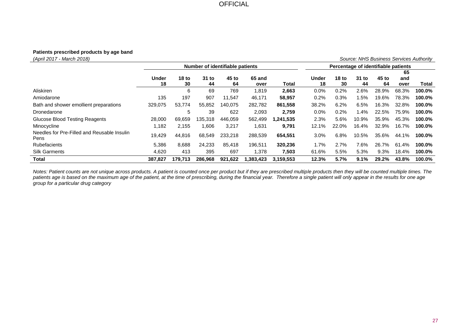#### **Patients prescribed products by age band**

*(April 2017 - March 2018) Source: NHS Business Services Authority* **Number of identifiable patients Percentage of identifiable patients Under 18 18 to 30 31 to 44 45 to 64 65 and over Total Under 18 18 to 30 31 to 44 45 to 64 65 and over Total** Aliskiren 6 69 769 1,819 **2,663** 0.0% 0.2% 2.6% 28.9% 68.3% **100.0%** Amiodarone 135 197 907 11,547 46,171 **58,957** 0.2% 0.3% 1.5% 19.6% 78.3% **100.0%** Bath and shower emollient preparations 329,075 53,774 55,852 140,075 282,782 **861,558** 38.2% 6.2% 6.5% 16.3% 32.8% **100.0%** Dronedarone 5 39 622 2,093 **2,759** 0.0% 0.2% 1.4% 22.5% 75.9% **100.0%** Glucose Blood Testing Reagents 28,000 69,659 135,318 446,059 562,499 **1,241,535** 2.3% 5.6% 10.9% 35.9% 45.3% **100.0%** Minocycline 1,182 2,155 1,606 3,217 1,631 **9,791** 12.1% 22.0% 16.4% 32.9% 16.7% **100.0%** Needles for Pre-Filled and Reusable Insulin Pens 19,429 44,816 68,549 233,218 288,539 **654,551** 3.0% 6.8% 10.5% 35.6% 44.1% **100.0%** Rubefacients 5,386 8,688 24,233 85,418 196,511 **320,236** 1.7% 2.7% 7.6% 26.7% 61.4% **100.0%** Silk Garments 4,620 413 395 697 1,378 **7,503** 61.6% 5.5% 5.3% 9.3% 18.4% **100.0% Total 387,827 179,713 286,968 921,622 1,383,423 3,159,553 12.3% 5.7% 9.1% 29.2% 43.8% 100.0%**

*Notes: Patient counts are not unique across products. A patient is counted once per product but if they are prescribed multiple products then they will be counted multiple times. The*  patients age is based on the maximum age of the patient, at the time of prescribing, during the financial year. Therefore a single patient will only appear in the results for one age *group for a particular drug category*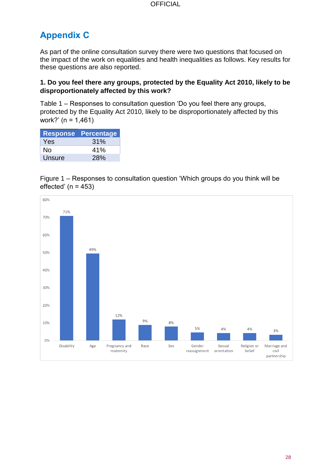# **Appendix C**

As part of the online consultation survey there were two questions that focused on the impact of the work on equalities and health inequalities as follows. Key results for these questions are also reported.

#### **1. Do you feel there any groups, protected by the Equality Act 2010, likely to be disproportionately affected by this work?**

Table 1 – Responses to consultation question 'Do you feel there any groups, protected by the Equality Act 2010, likely to be disproportionately affected by this work?' (n = 1,461)

| <b>Response</b> | Percentage |
|-----------------|------------|
| Yes             | 31%        |
| No              | 41%        |
| Unsure          | 28%        |

Figure 1 – Responses to consultation question 'Which groups do you think will be effected' ( $n = 453$ )

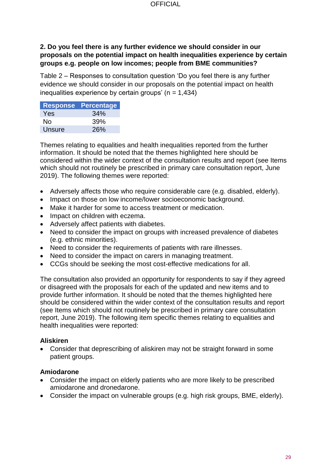### **2. Do you feel there is any further evidence we should consider in our proposals on the potential impact on health inequalities experience by certain groups e.g. people on low incomes; people from BME communities?**

Table 2 – Responses to consultation question 'Do you feel there is any further evidence we should consider in our proposals on the potential impact on health inequalities experience by certain groups'  $(n = 1,434)$ 

|        | <b>Response Percentage</b> |
|--------|----------------------------|
| Yes    | 34%                        |
| No     | 39%                        |
| Unsure | <b>26%</b>                 |

Themes relating to equalities and health inequalities reported from the further information. It should be noted that the themes highlighted here should be considered within the wider context of the consultation results and report (see Items which should not routinely be prescribed in primary care consultation report, June 2019). The following themes were reported:

- Adversely affects those who require considerable care (e.g. disabled, elderly).
- Impact on those on low income/lower socioeconomic background.
- Make it harder for some to access treatment or medication.
- Impact on children with eczema.
- Adversely affect patients with diabetes.
- Need to consider the impact on groups with increased prevalence of diabetes (e.g. ethnic minorities).
- Need to consider the requirements of patients with rare illnesses.
- Need to consider the impact on carers in managing treatment.
- CCGs should be seeking the most cost-effective medications for all.

The consultation also provided an opportunity for respondents to say if they agreed or disagreed with the proposals for each of the updated and new items and to provide further information. It should be noted that the themes highlighted here should be considered within the wider context of the consultation results and report (see Items which should not routinely be prescribed in primary care consultation report, June 2019). The following item specific themes relating to equalities and health inequalities were reported:

#### **Aliskiren**

• Consider that deprescribing of aliskiren may not be straight forward in some patient groups.

#### **Amiodarone**

- Consider the impact on elderly patients who are more likely to be prescribed amiodarone and dronedarone.
- Consider the impact on vulnerable groups (e.g. high risk groups, BME, elderly).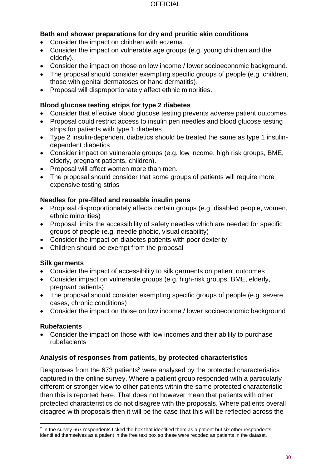## **Bath and shower preparations for dry and pruritic skin conditions**

- Consider the impact on children with eczema.
- Consider the impact on vulnerable age groups (e.g. young children and the elderly).
- Consider the impact on those on low income / lower socioeconomic background.
- The proposal should consider exempting specific groups of people (e.g. children, those with genital dermatoses or hand dermatitis).
- Proposal will disproportionately affect ethnic minorities.

#### **Blood glucose testing strips for type 2 diabetes**

- Consider that effective blood glucose testing prevents adverse patient outcomes
- Proposal could restrict access to insulin pen needles and blood glucose testing strips for patients with type 1 diabetes
- Type 2 insulin-dependent diabetics should be treated the same as type 1 insulindependent diabetics
- Consider impact on vulnerable groups (e.g. low income, high risk groups, BME, elderly, pregnant patients, children).
- Proposal will affect women more than men.
- The proposal should consider that some groups of patients will require more expensive testing strips

### **Needles for pre-filled and reusable insulin pens**

- Proposal disproportionately affects certain groups (e.g. disabled people, women, ethnic minorities)
- Proposal limits the accessibility of safety needles which are needed for specific groups of people (e.g. needle phobic, visual disability)
- Consider the impact on diabetes patients with poor dexterity
- Children should be exempt from the proposal

#### **Silk garments**

- Consider the impact of accessibility to silk garments on patient outcomes
- Consider impact on vulnerable groups (e.g. high-risk groups, BME, elderly, pregnant patients)
- The proposal should consider exempting specific groups of people (e.g. severe cases, chronic conditions)
- Consider the impact on those on low income / lower socioeconomic background

### **Rubefacients**

• Consider the impact on those with low incomes and their ability to purchase rubefacients

### **Analysis of responses from patients, by protected characteristics**

Responses from the  $673$  patients<sup>2</sup> were analysed by the protected characteristics captured in the online survey. Where a patient group responded with a particularly different or stronger view to other patients within the same protected characteristic then this is reported here. That does not however mean that patients with other protected characteristics do not disagree with the proposals. Where patients overall disagree with proposals then it will be the case that this will be reflected across the

l <sup>2</sup> In the survey 667 respondents ticked the box that identified them as a patient but six other respondents identified themselves as a patient in the free text box so these were recoded as patients in the dataset.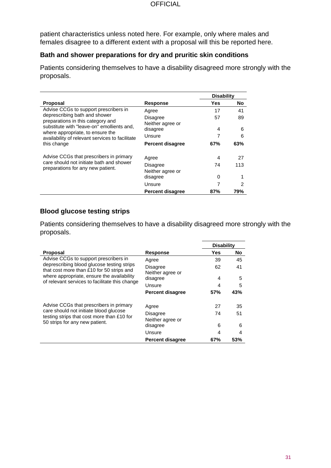patient characteristics unless noted here. For example, only where males and females disagree to a different extent with a proposal will this be reported here.

#### **Bath and shower preparations for dry and pruritic skin conditions**

Patients considering themselves to have a disability disagreed more strongly with the proposals.

|                                                                                                                                                                                                                        |                              | <b>Disability</b> |     |
|------------------------------------------------------------------------------------------------------------------------------------------------------------------------------------------------------------------------|------------------------------|-------------------|-----|
| <b>Proposal</b>                                                                                                                                                                                                        | <b>Response</b>              | Yes               | No  |
| Advise CCGs to support prescribers in                                                                                                                                                                                  | Agree                        | 17                | 41  |
| deprescribing bath and shower<br>preparations in this category and<br>substitute with "leave-on" emollients and,<br>where appropriate, to ensure the<br>availability of relevant services to facilitate<br>this change | Disagree<br>Neither agree or | 57                | 89  |
|                                                                                                                                                                                                                        | disagree                     | 4                 | 6   |
|                                                                                                                                                                                                                        | Unsure                       |                   | 6   |
|                                                                                                                                                                                                                        | <b>Percent disagree</b>      | 67%               | 63% |
| Advise CCGs that prescribers in primary<br>care should not initiate bath and shower<br>preparations for any new patient.                                                                                               | Agree                        | 4                 | 27  |
|                                                                                                                                                                                                                        | Disagree<br>Neither agree or | 74                | 113 |
|                                                                                                                                                                                                                        | disagree                     | 0                 |     |
|                                                                                                                                                                                                                        | Unsure                       | 7                 | 2   |
|                                                                                                                                                                                                                        | <b>Percent disagree</b>      | 87%               | 79% |

### **Blood glucose testing strips**

Patients considering themselves to have a disability disagreed more strongly with the proposals.

|                                                                                                                                                                                         |                              | <b>Disability</b> |           |
|-----------------------------------------------------------------------------------------------------------------------------------------------------------------------------------------|------------------------------|-------------------|-----------|
| <b>Proposal</b>                                                                                                                                                                         | <b>Response</b>              | Yes               | <b>No</b> |
| Advise CCGs to support prescribers in                                                                                                                                                   | Agree                        | 39                | 45        |
| deprescribing blood glucose testing strips<br>that cost more than £10 for 50 strips and<br>where appropriate, ensure the availability<br>of relevant services to facilitate this change | <b>Disagree</b>              | 62                | 41        |
|                                                                                                                                                                                         | Neither agree or             |                   |           |
|                                                                                                                                                                                         | disagree                     | 4                 | 5         |
|                                                                                                                                                                                         | Unsure                       | 4                 | 5         |
|                                                                                                                                                                                         | <b>Percent disagree</b>      | 57%               | 43%       |
| Advise CCGs that prescribers in primary                                                                                                                                                 | Agree                        | 27                | 35        |
| care should not initiate blood glucose<br>testing strips that cost more than £10 for                                                                                                    | <b>Disagree</b>              | 74                | 51        |
| 50 strips for any new patient.                                                                                                                                                          | Neither agree or<br>disagree | 6                 | 6         |
|                                                                                                                                                                                         | Unsure                       | 4                 | 4         |
|                                                                                                                                                                                         | <b>Percent disagree</b>      | 67%               | 53%       |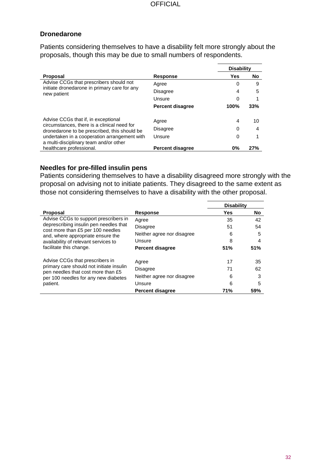#### **Dronedarone**

Patients considering themselves to have a disability felt more strongly about the proposals, though this may be due to small numbers of respondents.

|                                                                                                                                                                                    |                         | <b>Disability</b> |     |
|------------------------------------------------------------------------------------------------------------------------------------------------------------------------------------|-------------------------|-------------------|-----|
| Proposal                                                                                                                                                                           | <b>Response</b>         | Yes               | No  |
| Advise CCGs that prescribers should not<br>initiate dronedarone in primary care for any<br>new patient                                                                             | Agree                   | 0                 | 9   |
|                                                                                                                                                                                    | <b>Disagree</b>         | 4                 | 5   |
|                                                                                                                                                                                    | Unsure                  | 0                 |     |
|                                                                                                                                                                                    | <b>Percent disagree</b> | 100%              | 33% |
| Advise CCGs that if, in exceptional<br>circumstances, there is a clinical need for<br>dronedarone to be prescribed, this should be<br>undertaken in a cooperation arrangement with | Agree                   | 4                 | 10  |
|                                                                                                                                                                                    | <b>Disagree</b>         | 0                 | 4   |
|                                                                                                                                                                                    | Unsure                  | 0                 |     |
| a multi-disciplinary team and/or other                                                                                                                                             |                         |                   |     |
| healthcare professional.                                                                                                                                                           | <b>Percent disagree</b> | 0%                | 27% |

## **Needles for pre-filled insulin pens**

Patients considering themselves to have a disability disagreed more strongly with the proposal on advising not to initiate patients. They disagreed to the same extent as those not considering themselves to have a disability with the other proposal.

|                                                                                                                                                                                                                              |                            | <b>Disability</b> |     |
|------------------------------------------------------------------------------------------------------------------------------------------------------------------------------------------------------------------------------|----------------------------|-------------------|-----|
| Proposal                                                                                                                                                                                                                     | <b>Response</b>            | <b>Yes</b>        | No  |
| Advise CCGs to support prescribers in<br>deprescribing insulin pen needles that<br>cost more than £5 per 100 needles<br>and, where appropriate ensure the<br>availability of relevant services to<br>facilitate this change. | Agree                      | 35                | 42  |
|                                                                                                                                                                                                                              | <b>Disagree</b>            | 51                | 54  |
|                                                                                                                                                                                                                              | Neither agree nor disagree | 6                 | 5   |
|                                                                                                                                                                                                                              | Unsure                     | 8                 | 4   |
|                                                                                                                                                                                                                              | <b>Percent disagree</b>    | 51%               | 51% |
| Advise CCGs that prescribers in<br>primary care should not initiate insulin<br>pen needles that cost more than £5<br>per 100 needles for any new diabetes<br>patient.                                                        | Agree                      | 17                | 35  |
|                                                                                                                                                                                                                              | <b>Disagree</b>            | 71                | 62  |
|                                                                                                                                                                                                                              | Neither agree nor disagree | 6                 | 3   |
|                                                                                                                                                                                                                              | Unsure                     | 6                 | 5   |
|                                                                                                                                                                                                                              | <b>Percent disagree</b>    | 71%               | 59% |